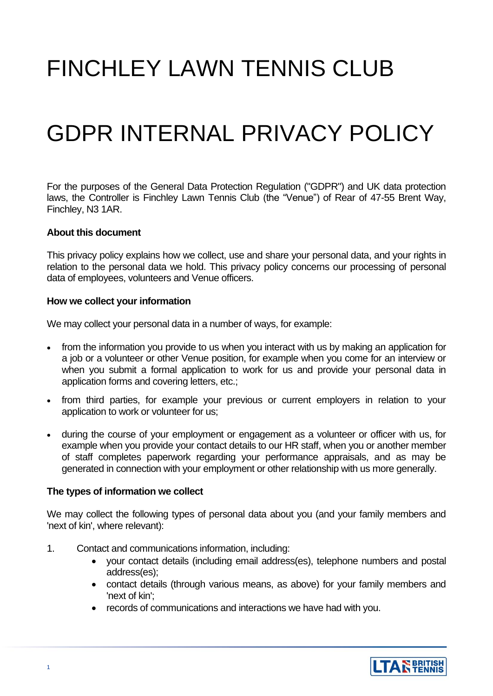# FINCHLEY LAWN TENNIS CLUB

# GDPR INTERNAL PRIVACY POLICY

For the purposes of the General Data Protection Regulation ("GDPR") and UK data protection laws, the Controller is Finchley Lawn Tennis Club (the "Venue") of Rear of 47-55 Brent Way, Finchley, N3 1AR.

#### **About this document**

This privacy policy explains how we collect, use and share your personal data, and your rights in relation to the personal data we hold. This privacy policy concerns our processing of personal data of employees, volunteers and Venue officers.

#### **How we collect your information**

We may collect your personal data in a number of ways, for example:

- from the information you provide to us when you interact with us by making an application for a job or a volunteer or other Venue position, for example when you come for an interview or when you submit a formal application to work for us and provide your personal data in application forms and covering letters, etc.;
- from third parties, for example your previous or current employers in relation to your application to work or volunteer for us;
- during the course of your employment or engagement as a volunteer or officer with us, for example when you provide your contact details to our HR staff, when you or another member of staff completes paperwork regarding your performance appraisals, and as may be generated in connection with your employment or other relationship with us more generally.

## **The types of information we collect**

We may collect the following types of personal data about you (and your family members and 'next of kin', where relevant):

- 1. Contact and communications information, including:
	- your contact details (including email address(es), telephone numbers and postal address(es);
	- contact details (through various means, as above) for your family members and 'next of kin';
	- records of communications and interactions we have had with you.

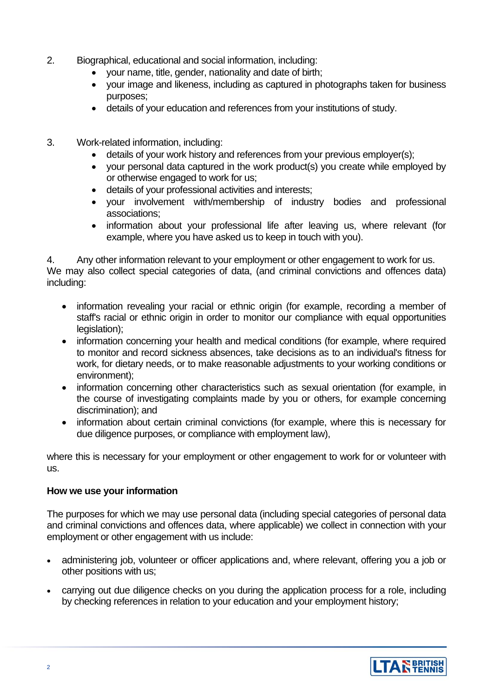- 2. Biographical, educational and social information, including:
	- your name, title, gender, nationality and date of birth;
	- your image and likeness, including as captured in photographs taken for business purposes;
	- details of your education and references from your institutions of study.
- 3. Work-related information, including:
	- details of your work history and references from your previous employer(s);
	- your personal data captured in the work product(s) you create while employed by or otherwise engaged to work for us;
	- details of your professional activities and interests;
	- your involvement with/membership of industry bodies and professional associations;
	- information about your professional life after leaving us, where relevant (for example, where you have asked us to keep in touch with you).

4. Any other information relevant to your employment or other engagement to work for us.

We may also collect special categories of data, (and criminal convictions and offences data) including:

- information revealing your racial or ethnic origin (for example, recording a member of staff's racial or ethnic origin in order to monitor our compliance with equal opportunities legislation);
- information concerning your health and medical conditions (for example, where required to monitor and record sickness absences, take decisions as to an individual's fitness for work, for dietary needs, or to make reasonable adjustments to your working conditions or environment);
- information concerning other characteristics such as sexual orientation (for example, in the course of investigating complaints made by you or others, for example concerning discrimination); and
- information about certain criminal convictions (for example, where this is necessary for due diligence purposes, or compliance with employment law),

where this is necessary for your employment or other engagement to work for or volunteer with us.

## **How we use your information**

The purposes for which we may use personal data (including special categories of personal data and criminal convictions and offences data, where applicable) we collect in connection with your employment or other engagement with us include:

- administering job, volunteer or officer applications and, where relevant, offering you a job or other positions with us;
- carrying out due diligence checks on you during the application process for a role, including by checking references in relation to your education and your employment history;

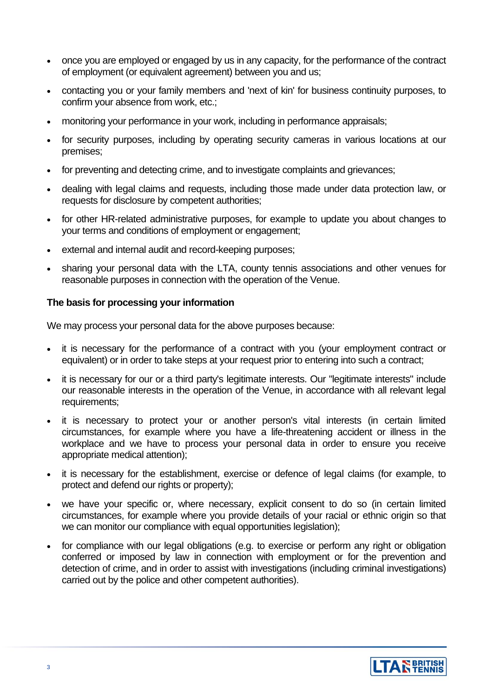- once you are employed or engaged by us in any capacity, for the performance of the contract of employment (or equivalent agreement) between you and us;
- contacting you or your family members and 'next of kin' for business continuity purposes, to confirm your absence from work, etc.;
- monitoring your performance in your work, including in performance appraisals;
- for security purposes, including by operating security cameras in various locations at our premises;
- for preventing and detecting crime, and to investigate complaints and grievances;
- dealing with legal claims and requests, including those made under data protection law, or requests for disclosure by competent authorities;
- for other HR-related administrative purposes, for example to update you about changes to your terms and conditions of employment or engagement;
- external and internal audit and record-keeping purposes;
- sharing your personal data with the LTA, county tennis associations and other venues for reasonable purposes in connection with the operation of the Venue.

# **The basis for processing your information**

We may process your personal data for the above purposes because:

- it is necessary for the performance of a contract with you (your employment contract or equivalent) or in order to take steps at your request prior to entering into such a contract;
- it is necessary for our or a third party's legitimate interests. Our "legitimate interests" include our reasonable interests in the operation of the Venue, in accordance with all relevant legal requirements;
- it is necessary to protect your or another person's vital interests (in certain limited circumstances, for example where you have a life-threatening accident or illness in the workplace and we have to process your personal data in order to ensure you receive appropriate medical attention);
- it is necessary for the establishment, exercise or defence of legal claims (for example, to protect and defend our rights or property);
- we have your specific or, where necessary, explicit consent to do so (in certain limited circumstances, for example where you provide details of your racial or ethnic origin so that we can monitor our compliance with equal opportunities legislation);
- for compliance with our legal obligations (e.g. to exercise or perform any right or obligation conferred or imposed by law in connection with employment or for the prevention and detection of crime, and in order to assist with investigations (including criminal investigations) carried out by the police and other competent authorities).

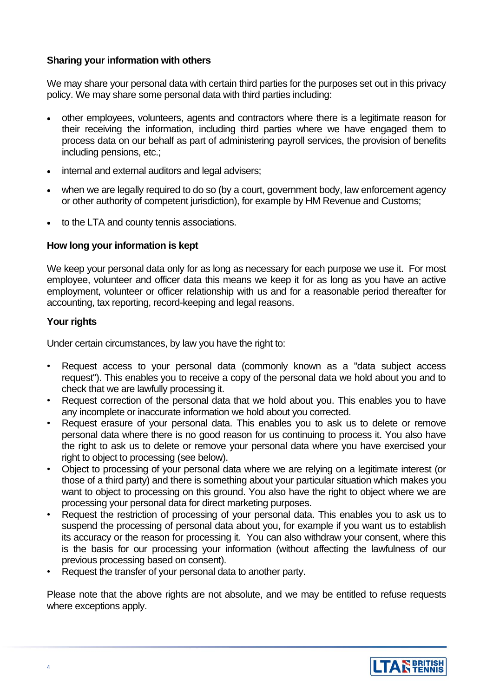# **Sharing your information with others**

We may share your personal data with certain third parties for the purposes set out in this privacy policy. We may share some personal data with third parties including:

- other employees, volunteers, agents and contractors where there is a legitimate reason for their receiving the information, including third parties where we have engaged them to process data on our behalf as part of administering payroll services, the provision of benefits including pensions, etc.;
- internal and external auditors and legal advisers:
- when we are legally required to do so (by a court, government body, law enforcement agency or other authority of competent jurisdiction), for example by HM Revenue and Customs;
- to the LTA and county tennis associations.

# **How long your information is kept**

We keep your personal data only for as long as necessary for each purpose we use it. For most employee, volunteer and officer data this means we keep it for as long as you have an active employment, volunteer or officer relationship with us and for a reasonable period thereafter for accounting, tax reporting, record-keeping and legal reasons.

## **Your rights**

Under certain circumstances, by law you have the right to:

- Request access to your personal data (commonly known as a "data subject access request"). This enables you to receive a copy of the personal data we hold about you and to check that we are lawfully processing it.
- Request correction of the personal data that we hold about you. This enables you to have any incomplete or inaccurate information we hold about you corrected.
- Request erasure of your personal data. This enables you to ask us to delete or remove personal data where there is no good reason for us continuing to process it. You also have the right to ask us to delete or remove your personal data where you have exercised your right to object to processing (see below).
- Object to processing of your personal data where we are relying on a legitimate interest (or those of a third party) and there is something about your particular situation which makes you want to object to processing on this ground. You also have the right to object where we are processing your personal data for direct marketing purposes.
- Request the restriction of processing of your personal data. This enables you to ask us to suspend the processing of personal data about you, for example if you want us to establish its accuracy or the reason for processing it. You can also withdraw your consent, where this is the basis for our processing your information (without affecting the lawfulness of our previous processing based on consent).
- Request the transfer of your personal data to another party.

Please note that the above rights are not absolute, and we may be entitled to refuse requests where exceptions apply.